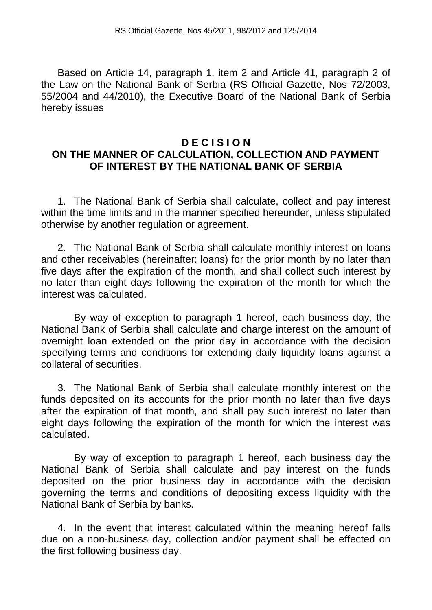Based on Article 14, paragraph 1, item 2 and Article 41, paragraph 2 of the Law on the National Bank of Serbia (RS Official Gazette, Nos 72/2003, 55/2004 and 44/2010), the Executive Board of the National Bank of Serbia hereby issues

## **D E C I S I O N ON THE MANNER OF CALCULATION, COLLECTION AND PAYMENT OF INTEREST BY THE NATIONAL BANK OF SERBIA**

1. The National Bank of Serbia shall calculate, collect and pay interest within the time limits and in the manner specified hereunder, unless stipulated otherwise by another regulation or agreement.

2. The National Bank of Serbia shall calculate monthly interest on loans and other receivables (hereinafter: loans) for the prior month by no later than five days after the expiration of the month, and shall collect such interest by no later than eight days following the expiration of the month for which the interest was calculated.

By way of exception to paragraph 1 hereof, each business day, the National Bank of Serbia shall calculate and charge interest on the amount of overnight loan extended on the prior day in accordance with the decision specifying terms and conditions for extending daily liquidity loans against a collateral of securities.

3. The National Bank of Serbia shall calculate monthly interest on the funds deposited on its accounts for the prior month no later than five days after the expiration of that month, and shall pay such interest no later than eight days following the expiration of the month for which the interest was calculated.

By way of exception to paragraph 1 hereof, each business day the National Bank of Serbia shall calculate and pay interest on the funds deposited on the prior business day in accordance with the decision governing the terms and conditions of depositing excess liquidity with the National Bank of Serbia by banks.

4. In the event that interest calculated within the meaning hereof falls due on a non-business day, collection and/or payment shall be effected on the first following business day.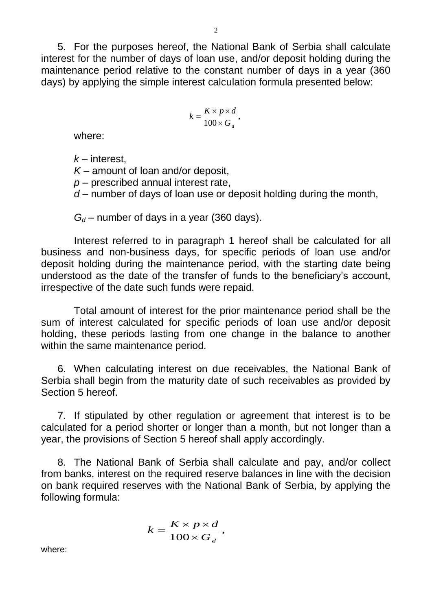5. For the purposes hereof, the National Bank of Serbia shall calculate interest for the number of days of loan use, and/or deposit holding during the maintenance period relative to the constant number of days in a year (360 days) by applying the simple interest calculation formula presented below:

$$
k = \frac{K \times p \times d}{100 \times G_d},
$$

where:

*k* – interest,

*K* – amount of loan and/or deposit,

*p* – prescribed annual interest rate,

*d* – number of days of loan use or deposit holding during the month,

 $G_d$  – number of days in a year (360 days).

Interest referred to in paragraph 1 hereof shall be calculated for all business and non-business days, for specific periods of loan use and/or deposit holding during the maintenance period, with the starting date being understood as the date of the transfer of funds to the beneficiary's account, irrespective of the date such funds were repaid.

Total amount of interest for the prior maintenance period shall be the sum of interest calculated for specific periods of loan use and/or deposit holding, these periods lasting from one change in the balance to another within the same maintenance period.

6. When calculating interest on due receivables, the National Bank of Serbia shall begin from the maturity date of such receivables as provided by Section 5 hereof.

7. If stipulated by other regulation or agreement that interest is to be calculated for a period shorter or longer than a month, but not longer than a year, the provisions of Section 5 hereof shall apply accordingly.

8. The National Bank of Serbia shall calculate and pay, and/or collect from banks, interest on the required reserve balances in line with the decision on bank required reserves with the National Bank of Serbia, by applying the following formula:

$$
k = \frac{K \times p \times d}{100 \times G_d},
$$

where: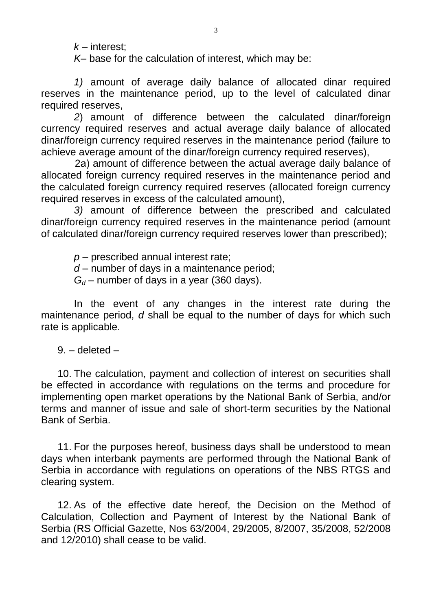*k* – interest;

*K–* base for the calculation of interest, which may be:

*1)* amount of average daily balance of allocated dinar required reserves in the maintenance period, up to the level of calculated dinar required reserves,

*2*) amount of difference between the calculated dinar/foreign currency required reserves and actual average daily balance of allocated dinar/foreign currency required reserves in the maintenance period (failure to achieve average amount of the dinar/foreign currency required reserves),

 2а) amount of difference between the actual average daily balance of allocated foreign currency required reserves in the maintenance period and the calculated foreign currency required reserves (allocated foreign currency required reserves in excess of the calculated amount),

*3)* amount of difference between the prescribed and calculated dinar/foreign currency required reserves in the maintenance period (amount of calculated dinar/foreign currency required reserves lower than prescribed);

*p* – prescribed annual interest rate;

*d* – number of days in a maintenance period;

 $G_d$  – number of days in a year (360 days).

In the event of any changes in the interest rate during the maintenance period, *d* shall be equal to the number of days for which such rate is applicable.

9. – deleted –

10. The calculation, payment and collection of interest on securities shall be effected in accordance with regulations on the terms and procedure for implementing open market operations by the National Bank of Serbia, and/or terms and manner of issue and sale of short-term securities by the National Bank of Serbia.

11. For the purposes hereof, business days shall be understood to mean days when interbank payments are performed through the National Bank of Serbia in accordance with regulations on operations of the NBS RTGS and clearing system.

12. As of the effective date hereof, the Decision on the Method of Calculation, Collection and Payment of Interest by the National Bank of Serbia (RS Official Gazette, Nos 63/2004, 29/2005, 8/2007, 35/2008, 52/2008 and 12/2010) shall cease to be valid.